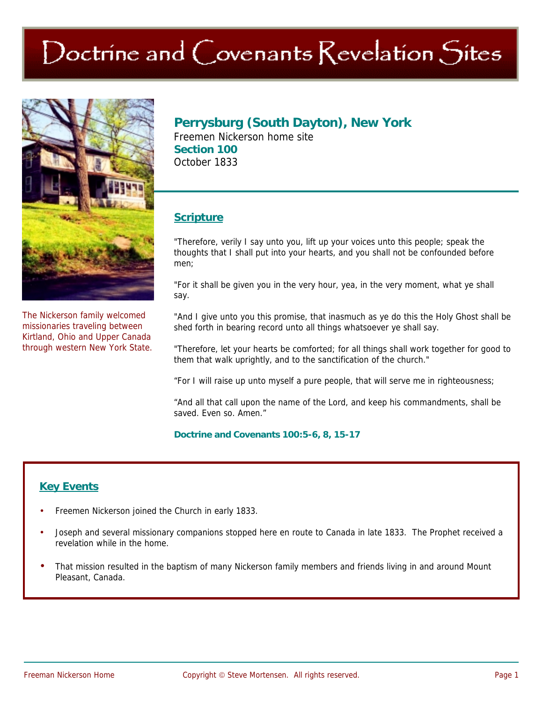# $\operatorname{Doch}$  ine and  $\operatorname{Corenants}$  Revelation  $\operatorname{Sites}$



The Nickerson family welcomed missionaries traveling between Kirtland, Ohio and Upper Canada through western New York State.

## **Perrysburg (South Dayton), New York**

Freemen Nickerson home site **Section 100**  October 1833

### **Scripture**

"Therefore, verily I say unto you, lift up your voices unto this people; speak the thoughts that I shall put into your hearts, and you shall not be confounded before men;

"For it shall be given you in the very hour, yea, in the very moment, what ye shall say.

"And I give unto you this promise, that inasmuch as ye do this the Holy Ghost shall be shed forth in bearing record unto all things whatsoever ye shall say.

"Therefore, let your hearts be comforted; for all things shall work together for good to them that walk uprightly, and to the sanctification of the church."

"For I will raise up unto myself a pure people, that will serve me in righteousness;

"And all that call upon the name of the Lord, and keep his commandments, shall be saved. Even so. Amen."

#### **Doctrine and Covenants 100:5-6, 8, 15-17**

## **Key Events**

- Freemen Nickerson joined the Church in early 1833.
- Joseph and several missionary companions stopped here en route to Canada in late 1833. The Prophet received a revelation while in the home.
- That mission resulted in the baptism of many Nickerson family members and friends living in and around Mount Pleasant, Canada.